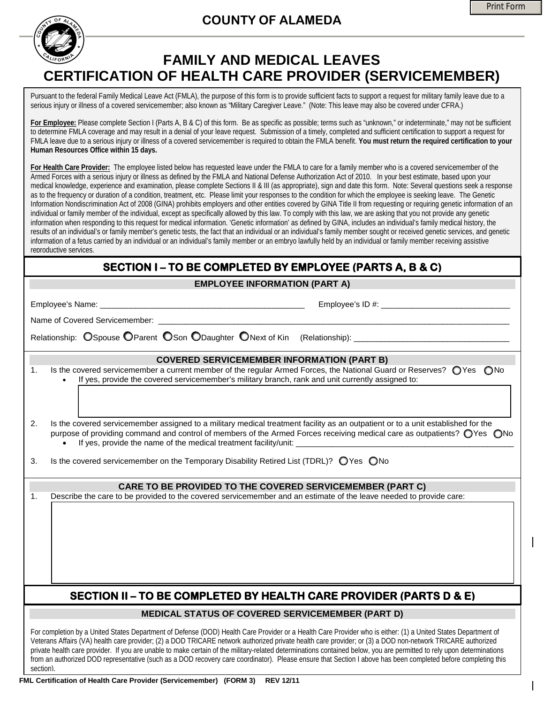## **COUNTY OF ALAMEDA**



## **FAMILY AND MEDICAL LEAVES CERTIFICATION OF HEALTH CARE PROVIDER (SERVICEMEMBER)**

Pursuant to the federal Family Medical Leave Act (FMLA), the purpose of this form is to provide sufficient facts to support a request for military family leave due to a serious injury or illness of a covered servicemember; also known as "Military Caregiver Leave." (Note: This leave may also be covered under CFRA.)

**For Employee:** Please complete Section I (Parts A, B & C) of this form. Be as specific as possible; terms such as "unknown," or indeterminate," may not be sufficient to determine FMLA coverage and may result in a denial of your leave request. Submission of a timely, completed and sufficient certification to support a request for FMLA leave due to a serious injury or illness of a covered servicemember is required to obtain the FMLA benefit. **You must return the required certification to your Human Resources Office within 15 days.** 

**For Health Care Provider:** The employee listed below has requested leave under the FMLA to care for a family member who is a covered servicemember of the Armed Forces with a serious injury or illness as defined by the FMLA and National Defense Authorization Act of 2010. In your best estimate, based upon your medical knowledge, experience and examination, please complete Sections II & III (as appropriate), sign and date this form. Note: Several questions seek a response as to the frequency or duration of a condition, treatment, etc. Please limit your responses to the condition for which the employee is seeking leave. The Genetic Information Nondiscrimination Act of 2008 (GINA) prohibits employers and other entities covered by GINA Title II from requesting or requiring genetic information of an individual or family member of the individual, except as specifically allowed by this law. To comply with this law, we are asking that you not provide any genetic information when responding to this request for medical information. 'Genetic information' as defined by GINA, includes an individual's family medical history, the results of an individual's or family member's genetic tests, the fact that an individual or an individual's family member sought or received genetic services, and genetic information of a fetus carried by an individual or an individual's family member or an embryo lawfully held by an individual or family member receiving assistive reproductive services.

## **SECTION I – TO BE COMPLETED BY EMPLOYEE (PARTS A, B & C)**

**EMPLOYEE INFORMATION (PART A)**

|                                                                                                      | Employee's Name: _<br><u> 1989 - An Dùbhlachd ann an Dùbhlachd ann an Dùbhlachd ann an Dùbhlachd ann an Dùbhlachd ann an Dùbhlachd ann </u>                                                                                                                                                                                     |  |  |
|------------------------------------------------------------------------------------------------------|---------------------------------------------------------------------------------------------------------------------------------------------------------------------------------------------------------------------------------------------------------------------------------------------------------------------------------|--|--|
| Name of Covered Servicemember:                                                                       |                                                                                                                                                                                                                                                                                                                                 |  |  |
| Relationship: OSpouse OParent OSon ODaughter ONext of Kin (Relationship): __________________________ |                                                                                                                                                                                                                                                                                                                                 |  |  |
|                                                                                                      | <b>COVERED SERVICEMEMBER INFORMATION (PART B)</b>                                                                                                                                                                                                                                                                               |  |  |
| 1.                                                                                                   | Is the covered servicemember a current member of the regular Armed Forces, the National Guard or Reserves? OYes ONo<br>If yes, provide the covered servicemember's military branch, rank and unit currently assigned to:                                                                                                        |  |  |
|                                                                                                      |                                                                                                                                                                                                                                                                                                                                 |  |  |
| 2.                                                                                                   | Is the covered servicemember assigned to a military medical treatment facility as an outpatient or to a unit established for the<br>purpose of providing command and control of members of the Armed Forces receiving medical care as outpatients? OYes ONo<br>If yes, provide the name of the medical treatment facility/unit: |  |  |
| 3.                                                                                                   | Is the covered servicemember on the Temporary Disability Retired List (TDRL)? ○ Yes ○ No                                                                                                                                                                                                                                        |  |  |
| <b>CARE TO BE PROVIDED TO THE COVERED SERVICEMEMBER (PART C)</b>                                     |                                                                                                                                                                                                                                                                                                                                 |  |  |
| $\mathbf{1}$ .                                                                                       | Describe the care to be provided to the covered servicemember and an estimate of the leave needed to provide care:                                                                                                                                                                                                              |  |  |
|                                                                                                      |                                                                                                                                                                                                                                                                                                                                 |  |  |
|                                                                                                      |                                                                                                                                                                                                                                                                                                                                 |  |  |
|                                                                                                      |                                                                                                                                                                                                                                                                                                                                 |  |  |
|                                                                                                      |                                                                                                                                                                                                                                                                                                                                 |  |  |
|                                                                                                      |                                                                                                                                                                                                                                                                                                                                 |  |  |
|                                                                                                      |                                                                                                                                                                                                                                                                                                                                 |  |  |
| SECTION II – TO BE COMPLETED BY HEALTH CARE PROVIDER (PARTS D & E)                                   |                                                                                                                                                                                                                                                                                                                                 |  |  |
| <b>MEDICAL STATUS OF COVERED SERVICEMEMBER (PART D)</b>                                              |                                                                                                                                                                                                                                                                                                                                 |  |  |
|                                                                                                      | For completion by a United States Department of Defense (DOD) Health Care Provider or a Health Care Provider who is either: (1) a United States Department of<br>Veterans Affairs (VA) health care provider: (2) a DOD TRICARE petwork authorized private health care provider: or (3) a DOD non-network TRICARE authorized     |  |  |

Veterans Affairs (VA) health care provider; (2) a DOD TRICARE network authorized private health care provider; or (3) a DOD non-network TRICARE authorized private health care provider. If you are unable to make certain of the military-related determinations contained below, you are permitted to rely upon determinations from an authorized DOD representative (such as a DOD recovery care coordinator). Please ensure that Section I above has been completed before completing this section).